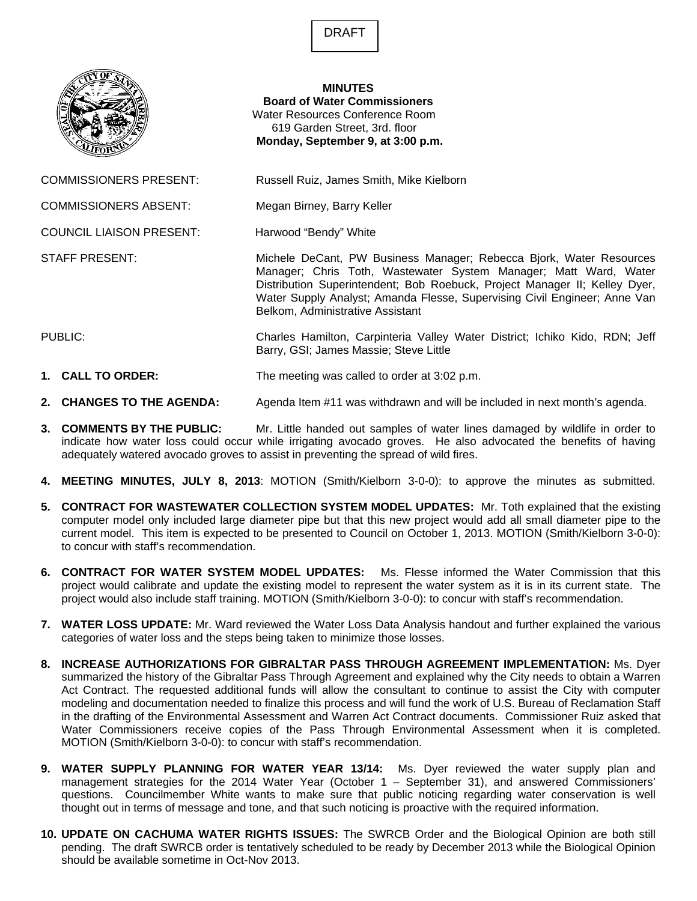DRAFT



## **MINUTES Board of Water Commissioners**  Water Resources Conference Room 619 Garden Street, 3rd. floor  **Monday, September 9, at 3:00 p.m.**

COMMISSIONERS PRESENT: Russell Ruiz, James Smith, Mike Kielborn

COMMISSIONERS ABSENT: Megan Birney, Barry Keller

COUNCIL LIAISON PRESENT: Harwood "Bendy" White

STAFF PRESENT: Michele DeCant, PW Business Manager; Rebecca Bjork, Water Resources Manager; Chris Toth, Wastewater System Manager; Matt Ward, Water Distribution Superintendent; Bob Roebuck, Project Manager II; Kelley Dyer, Water Supply Analyst; Amanda Flesse, Supervising Civil Engineer; Anne Van Belkom, Administrative Assistant

PUBLIC: Charles Hamilton, Carpinteria Valley Water District; Ichiko Kido, RDN; Jeff Barry, GSI; James Massie; Steve Little

## **1. CALL TO ORDER:** The meeting was called to order at 3:02 p.m.

- **2. CHANGES TO THE AGENDA:** Agenda Item #11 was withdrawn and will be included in next month's agenda.
- **3. COMMENTS BY THE PUBLIC:** Mr. Little handed out samples of water lines damaged by wildlife in order to indicate how water loss could occur while irrigating avocado groves. He also advocated the benefits of having adequately watered avocado groves to assist in preventing the spread of wild fires.
- **4. MEETING MINUTES, JULY 8, 2013**: MOTION (Smith/Kielborn 3-0-0): to approve the minutes as submitted.
- **5. CONTRACT FOR WASTEWATER COLLECTION SYSTEM MODEL UPDATES:** Mr. Toth explained that the existing computer model only included large diameter pipe but that this new project would add all small diameter pipe to the current model. This item is expected to be presented to Council on October 1, 2013. MOTION (Smith/Kielborn 3-0-0): to concur with staff's recommendation.
- **6. CONTRACT FOR WATER SYSTEM MODEL UPDATES:** Ms. Flesse informed the Water Commission that this project would calibrate and update the existing model to represent the water system as it is in its current state. The project would also include staff training. MOTION (Smith/Kielborn 3-0-0): to concur with staff's recommendation.
- **7. WATER LOSS UPDATE:** Mr. Ward reviewed the Water Loss Data Analysis handout and further explained the various categories of water loss and the steps being taken to minimize those losses.
- **8. INCREASE AUTHORIZATIONS FOR GIBRALTAR PASS THROUGH AGREEMENT IMPLEMENTATION:** Ms. Dyer summarized the history of the Gibraltar Pass Through Agreement and explained why the City needs to obtain a Warren Act Contract. The requested additional funds will allow the consultant to continue to assist the City with computer modeling and documentation needed to finalize this process and will fund the work of U.S. Bureau of Reclamation Staff in the drafting of the Environmental Assessment and Warren Act Contract documents. Commissioner Ruiz asked that Water Commissioners receive copies of the Pass Through Environmental Assessment when it is completed. MOTION (Smith/Kielborn 3-0-0): to concur with staff's recommendation.
- **9. WATER SUPPLY PLANNING FOR WATER YEAR 13/14:** Ms. Dyer reviewed the water supply plan and management strategies for the 2014 Water Year (October 1 – September 31), and answered Commissioners' questions. Councilmember White wants to make sure that public noticing regarding water conservation is well thought out in terms of message and tone, and that such noticing is proactive with the required information.
- **10. UPDATE ON CACHUMA WATER RIGHTS ISSUES:** The SWRCB Order and the Biological Opinion are both still pending. The draft SWRCB order is tentatively scheduled to be ready by December 2013 while the Biological Opinion should be available sometime in Oct-Nov 2013.